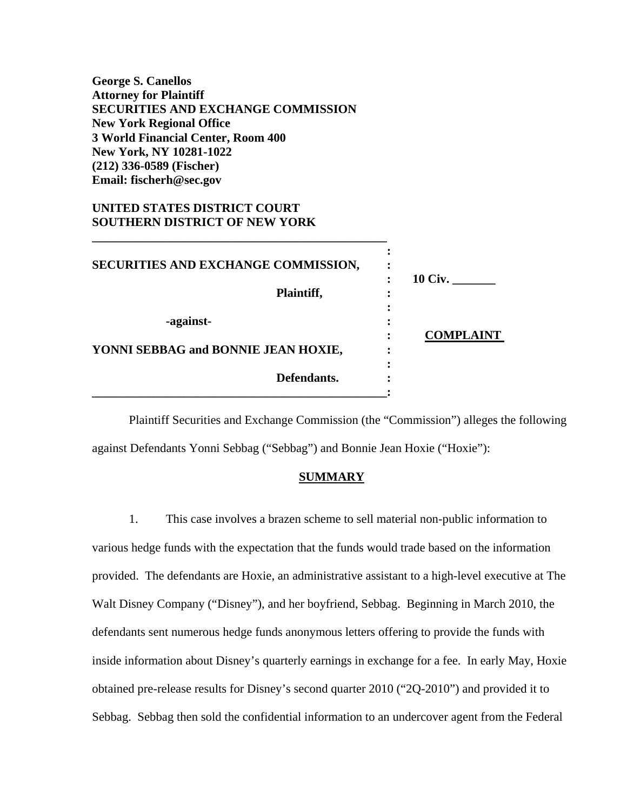**George S. Canellos Attorney for Plaintiff SECURITIES AND EXCHANGE COMMISSION New York Regional Office 3 World Financial Center, Room 400 New York, NY 10281-1022 (212) 336-0589 (Fischer) Email: fischerh@sec.gov** 

**\_\_\_\_\_\_\_\_\_\_\_\_\_\_\_\_\_\_\_\_\_\_\_\_\_\_\_\_\_\_\_\_\_\_\_\_\_\_\_\_\_\_\_\_\_\_\_\_** 

# **UNITED STATES DISTRICT COURT SOUTHERN DISTRICT OF NEW YORK**

| SECURITIES AND EXCHANGE COMMISSION, |                |
|-------------------------------------|----------------|
| Plaintiff,                          | <b>10 Civ.</b> |
| -against-                           | COMPLAINT      |
| YONNI SEBBAG and BONNIE JEAN HOXIE, |                |
| Defendants.                         |                |
|                                     |                |

Plaintiff Securities and Exchange Commission (the "Commission") alleges the following against Defendants Yonni Sebbag ("Sebbag") and Bonnie Jean Hoxie ("Hoxie"):

### **SUMMARY**

1. This case involves a brazen scheme to sell material non-public information to various hedge funds with the expectation that the funds would trade based on the information provided. The defendants are Hoxie, an administrative assistant to a high-level executive at The Walt Disney Company ("Disney"), and her boyfriend, Sebbag. Beginning in March 2010, the defendants sent numerous hedge funds anonymous letters offering to provide the funds with inside information about Disney's quarterly earnings in exchange for a fee. In early May, Hoxie obtained pre-release results for Disney's second quarter 2010 ("2Q-2010") and provided it to Sebbag. Sebbag then sold the confidential information to an undercover agent from the Federal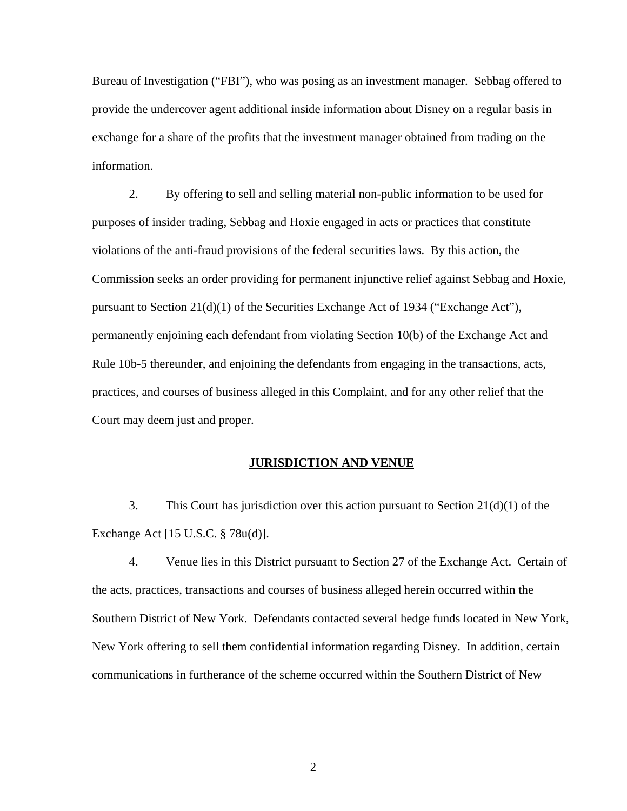Bureau of Investigation ("FBI"), who was posing as an investment manager. Sebbag offered to provide the undercover agent additional inside information about Disney on a regular basis in exchange for a share of the profits that the investment manager obtained from trading on the information.

2. By offering to sell and selling material non-public information to be used for purposes of insider trading, Sebbag and Hoxie engaged in acts or practices that constitute violations of the anti-fraud provisions of the federal securities laws. By this action, the Commission seeks an order providing for permanent injunctive relief against Sebbag and Hoxie, pursuant to Section 21(d)(1) of the Securities Exchange Act of 1934 ("Exchange Act"), permanently enjoining each defendant from violating Section 10(b) of the Exchange Act and Rule 10b-5 thereunder, and enjoining the defendants from engaging in the transactions, acts, practices, and courses of business alleged in this Complaint, and for any other relief that the Court may deem just and proper.

## **JURISDICTION AND VENUE**

3. This Court has jurisdiction over this action pursuant to Section 21(d)(1) of the Exchange Act [15 U.S.C. § 78u(d)].

4. Venue lies in this District pursuant to Section 27 of the Exchange Act. Certain of the acts, practices, transactions and courses of business alleged herein occurred within the Southern District of New York. Defendants contacted several hedge funds located in New York, New York offering to sell them confidential information regarding Disney. In addition, certain communications in furtherance of the scheme occurred within the Southern District of New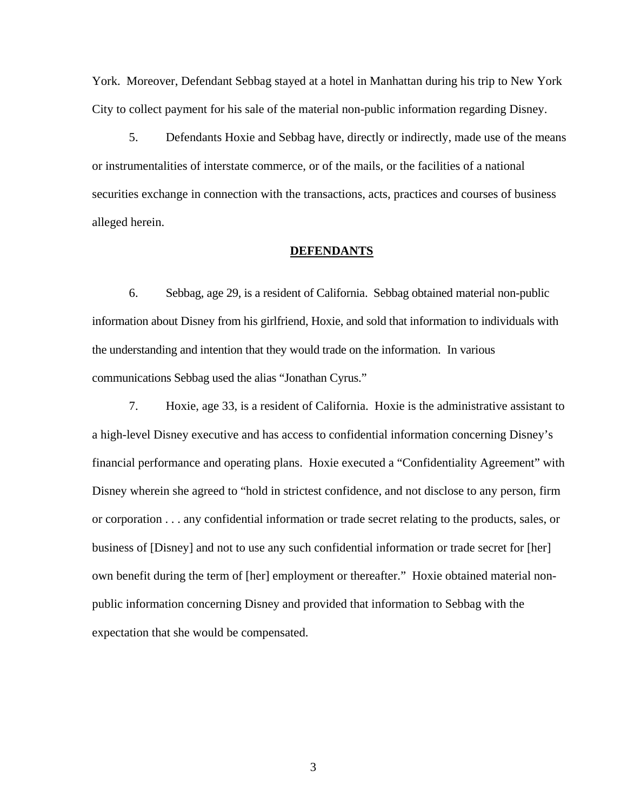York. Moreover, Defendant Sebbag stayed at a hotel in Manhattan during his trip to New York City to collect payment for his sale of the material non-public information regarding Disney.

5. Defendants Hoxie and Sebbag have, directly or indirectly, made use of the means or instrumentalities of interstate commerce, or of the mails, or the facilities of a national securities exchange in connection with the transactions, acts, practices and courses of business alleged herein.

#### **DEFENDANTS**

6. Sebbag, age 29, is a resident of California. Sebbag obtained material non-public information about Disney from his girlfriend, Hoxie, and sold that information to individuals with the understanding and intention that they would trade on the information. In various communications Sebbag used the alias "Jonathan Cyrus."

7. Hoxie, age 33, is a resident of California. Hoxie is the administrative assistant to a high-level Disney executive and has access to confidential information concerning Disney's financial performance and operating plans. Hoxie executed a "Confidentiality Agreement" with Disney wherein she agreed to "hold in strictest confidence, and not disclose to any person, firm or corporation . . . any confidential information or trade secret relating to the products, sales, or business of [Disney] and not to use any such confidential information or trade secret for [her] own benefit during the term of [her] employment or thereafter." Hoxie obtained material nonpublic information concerning Disney and provided that information to Sebbag with the expectation that she would be compensated.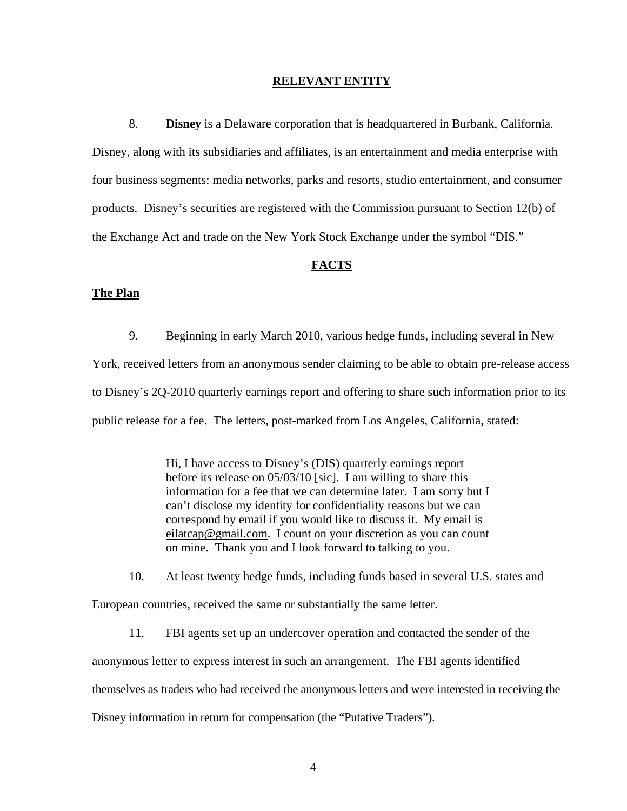#### **RELEVANT ENTITY**

8. **Disney** is a Delaware corporation that is headquartered in Burbank, California. Disney, along with its subsidiaries and affiliates, is an entertainment and media enterprise with four business segments: media networks, parks and resorts, studio entertainment, and consumer products. Disney's securities are registered with the Commission pursuant to Section 12(b) of the Exchange Act and trade on the New York Stock Exchange under the symbol "DIS."

#### **FACTS**

### **The Plan**

9. Beginning in early March 2010, various hedge funds, including several in New York, received letters from an anonymous sender claiming to be able to obtain pre-release access to Disney's 2Q-2010 quarterly earnings report and offering to share such information prior to its public release for a fee. The letters, post-marked from Los Angeles, California, stated:

> Hi, I have access to Disney's (DIS) quarterly earnings report before its release on 05/03/10 [sic]. I am willing to share this information for a fee that we can determine later. I am sorry but I can't disclose my identity for confidentiality reasons but we can correspond by email if you would like to discuss it. My email is eilatcap@gmail.com. I count on your discretion as you can count on mine. Thank you and I look forward to talking to you.

10. At least twenty hedge funds, including funds based in several U.S. states and European countries, received the same or substantially the same letter.

11. FBI agents set up an undercover operation and contacted the sender of the anonymous letter to express interest in such an arrangement. The FBI agents identified themselves as traders who had received the anonymous letters and were interested in receiving the Disney information in return for compensation (the "Putative Traders").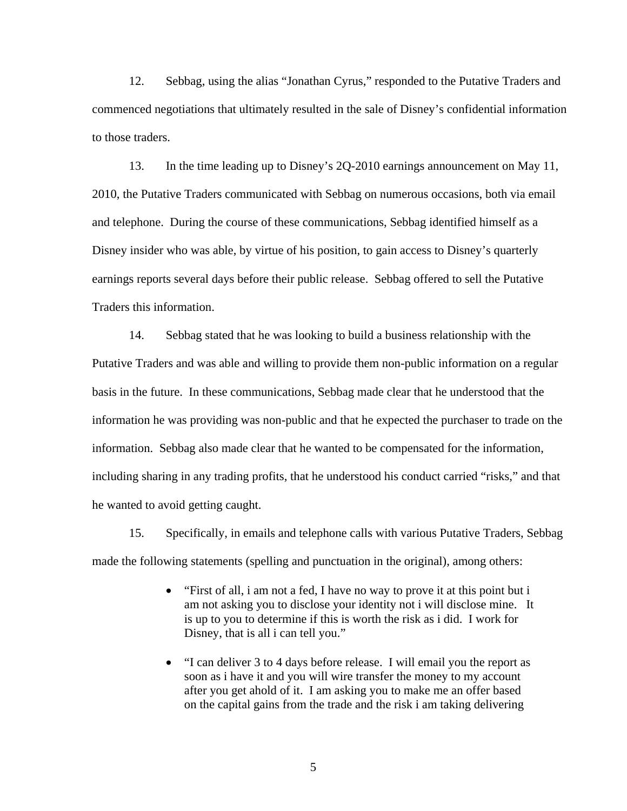12. Sebbag, using the alias "Jonathan Cyrus," responded to the Putative Traders and commenced negotiations that ultimately resulted in the sale of Disney's confidential information to those traders.

13. In the time leading up to Disney's 2Q-2010 earnings announcement on May 11, 2010, the Putative Traders communicated with Sebbag on numerous occasions, both via email and telephone. During the course of these communications, Sebbag identified himself as a Disney insider who was able, by virtue of his position, to gain access to Disney's quarterly earnings reports several days before their public release. Sebbag offered to sell the Putative Traders this information.

14. Sebbag stated that he was looking to build a business relationship with the Putative Traders and was able and willing to provide them non-public information on a regular basis in the future. In these communications, Sebbag made clear that he understood that the information he was providing was non-public and that he expected the purchaser to trade on the information. Sebbag also made clear that he wanted to be compensated for the information, including sharing in any trading profits, that he understood his conduct carried "risks," and that he wanted to avoid getting caught.

15. Specifically, in emails and telephone calls with various Putative Traders, Sebbag made the following statements (spelling and punctuation in the original), among others:

- "First of all, i am not a fed, I have no way to prove it at this point but i am not asking you to disclose your identity not i will disclose mine. It is up to you to determine if this is worth the risk as i did. I work for Disney, that is all i can tell you."
- "I can deliver 3 to 4 days before release. I will email you the report as soon as i have it and you will wire transfer the money to my account after you get ahold of it. I am asking you to make me an offer based on the capital gains from the trade and the risk i am taking delivering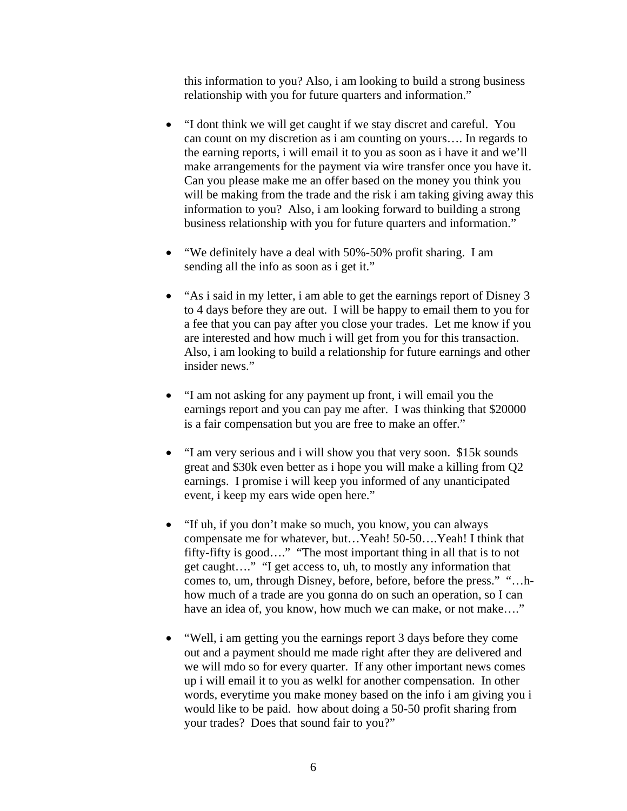this information to you? Also, i am looking to build a strong business relationship with you for future quarters and information."

- "I dont think we will get caught if we stay discret and careful. You can count on my discretion as i am counting on yours…. In regards to the earning reports, i will email it to you as soon as i have it and we'll make arrangements for the payment via wire transfer once you have it. Can you please make me an offer based on the money you think you will be making from the trade and the risk i am taking giving away this information to you? Also, i am looking forward to building a strong business relationship with you for future quarters and information."
- "We definitely have a deal with 50%-50% profit sharing. I am sending all the info as soon as i get it."
- "As i said in my letter, i am able to get the earnings report of Disney 3 to 4 days before they are out. I will be happy to email them to you for a fee that you can pay after you close your trades. Let me know if you are interested and how much i will get from you for this transaction. Also, i am looking to build a relationship for future earnings and other insider news."
- "I am not asking for any payment up front, i will email you the earnings report and you can pay me after. I was thinking that \$20000 is a fair compensation but you are free to make an offer."
- "I am very serious and i will show you that very soon. \$15k sounds great and \$30k even better as i hope you will make a killing from Q2 earnings. I promise i will keep you informed of any unanticipated event, i keep my ears wide open here."
- "If uh, if you don't make so much, you know, you can always compensate me for whatever, but…Yeah! 50-50….Yeah! I think that fifty-fifty is good…." "The most important thing in all that is to not get caught…." "I get access to, uh, to mostly any information that comes to, um, through Disney, before, before, before the press." "…hhow much of a trade are you gonna do on such an operation, so I can have an idea of, you know, how much we can make, or not make...."
- "Well, i am getting you the earnings report 3 days before they come out and a payment should me made right after they are delivered and we will mdo so for every quarter. If any other important news comes up i will email it to you as welkl for another compensation. In other words, everytime you make money based on the info i am giving you i would like to be paid. how about doing a 50-50 profit sharing from your trades? Does that sound fair to you?"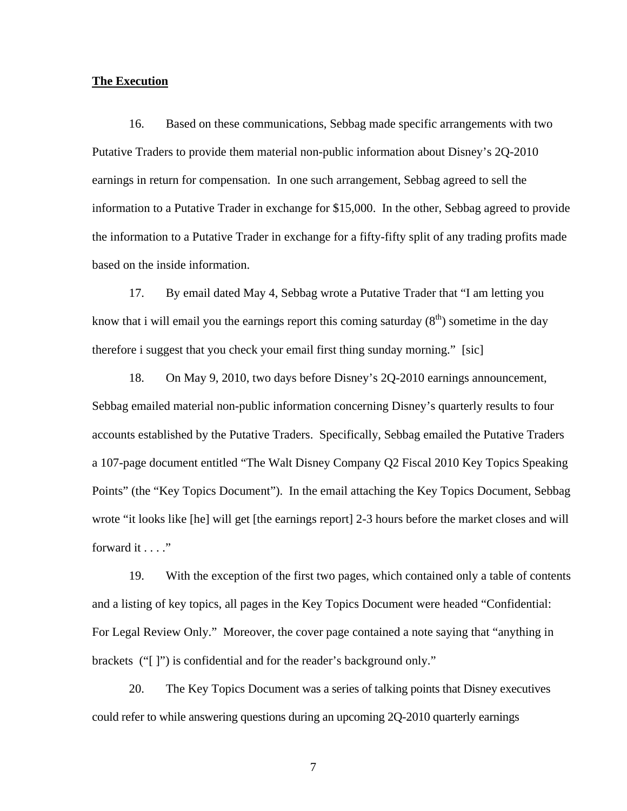#### **The Execution**

16. Based on these communications, Sebbag made specific arrangements with two Putative Traders to provide them material non-public information about Disney's 2Q-2010 earnings in return for compensation. In one such arrangement, Sebbag agreed to sell the information to a Putative Trader in exchange for \$15,000. In the other, Sebbag agreed to provide the information to a Putative Trader in exchange for a fifty-fifty split of any trading profits made based on the inside information.

17. By email dated May 4, Sebbag wrote a Putative Trader that "I am letting you know that i will email you the earnings report this coming saturday  $(8<sup>th</sup>)$  sometime in the day therefore i suggest that you check your email first thing sunday morning." [sic]

18. On May 9, 2010, two days before Disney's 2Q-2010 earnings announcement, Sebbag emailed material non-public information concerning Disney's quarterly results to four accounts established by the Putative Traders. Specifically, Sebbag emailed the Putative Traders a 107-page document entitled "The Walt Disney Company Q2 Fiscal 2010 Key Topics Speaking Points" (the "Key Topics Document"). In the email attaching the Key Topics Document, Sebbag wrote "it looks like [he] will get [the earnings report] 2-3 hours before the market closes and will forward it . . . ."

19. With the exception of the first two pages, which contained only a table of contents and a listing of key topics, all pages in the Key Topics Document were headed "Confidential: For Legal Review Only." Moreover, the cover page contained a note saying that "anything in brackets ("[ ]") is confidential and for the reader's background only."

 20. The Key Topics Document was a series of talking points that Disney executives could refer to while answering questions during an upcoming 2Q-2010 quarterly earnings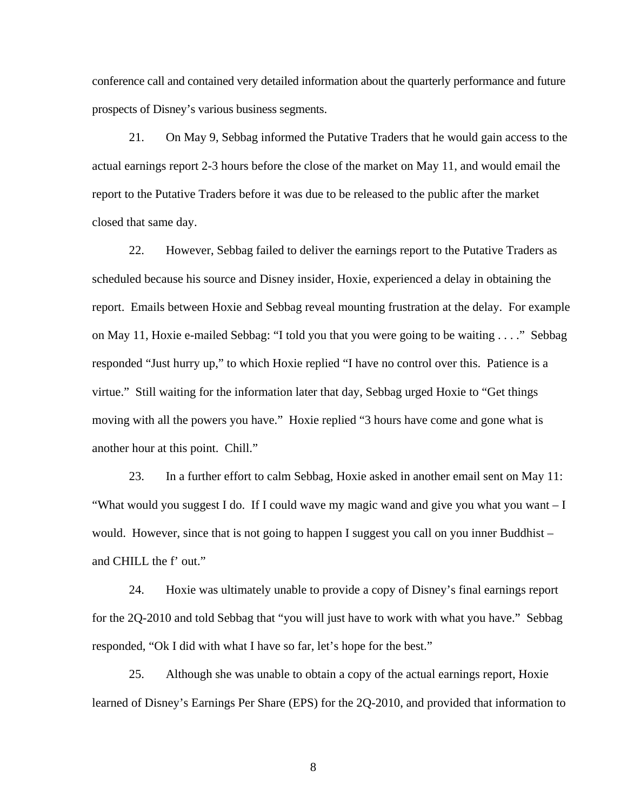conference call and contained very detailed information about the quarterly performance and future prospects of Disney's various business segments.

21. On May 9, Sebbag informed the Putative Traders that he would gain access to the actual earnings report 2-3 hours before the close of the market on May 11, and would email the report to the Putative Traders before it was due to be released to the public after the market closed that same day.

22. However, Sebbag failed to deliver the earnings report to the Putative Traders as scheduled because his source and Disney insider, Hoxie, experienced a delay in obtaining the report. Emails between Hoxie and Sebbag reveal mounting frustration at the delay. For example on May 11, Hoxie e-mailed Sebbag: "I told you that you were going to be waiting . . . ." Sebbag responded "Just hurry up," to which Hoxie replied "I have no control over this. Patience is a virtue." Still waiting for the information later that day, Sebbag urged Hoxie to "Get things moving with all the powers you have." Hoxie replied "3 hours have come and gone what is another hour at this point. Chill."

23. In a further effort to calm Sebbag, Hoxie asked in another email sent on May 11: "What would you suggest I do. If I could wave my magic wand and give you what you want – I would. However, since that is not going to happen I suggest you call on you inner Buddhist – and CHILL the f' out."

24. Hoxie was ultimately unable to provide a copy of Disney's final earnings report for the 2Q-2010 and told Sebbag that "you will just have to work with what you have." Sebbag responded, "Ok I did with what I have so far, let's hope for the best."

25. Although she was unable to obtain a copy of the actual earnings report, Hoxie learned of Disney's Earnings Per Share (EPS) for the 2Q-2010, and provided that information to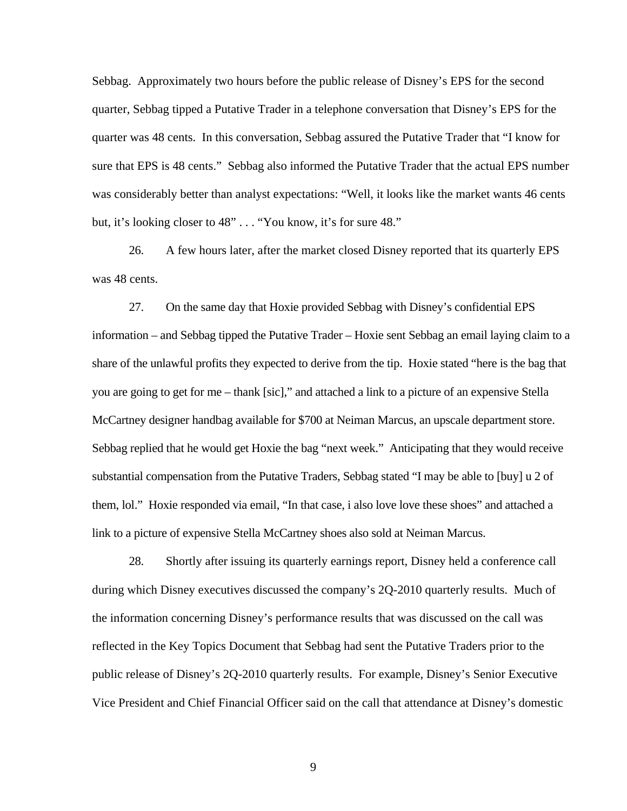Sebbag. Approximately two hours before the public release of Disney's EPS for the second quarter, Sebbag tipped a Putative Trader in a telephone conversation that Disney's EPS for the quarter was 48 cents. In this conversation, Sebbag assured the Putative Trader that "I know for sure that EPS is 48 cents." Sebbag also informed the Putative Trader that the actual EPS number was considerably better than analyst expectations: "Well, it looks like the market wants 46 cents but, it's looking closer to 48" . . . "You know, it's for sure 48."

26. A few hours later, after the market closed Disney reported that its quarterly EPS was 48 cents.

McCartney designer handbag available for \$700 at Neiman Marcus, an upscale department store. 27. On the same day that Hoxie provided Sebbag with Disney's confidential EPS information – and Sebbag tipped the Putative Trader – Hoxie sent Sebbag an email laying claim to a share of the unlawful profits they expected to derive from the tip. Hoxie stated "here is the bag that you are going to get for me – thank [sic]," and attached a link to a picture of an expensive Stella Sebbag replied that he would get Hoxie the bag "next week." Anticipating that they would receive substantial compensation from the Putative Traders, Sebbag stated "I may be able to [buy] u 2 of them, lol." Hoxie responded via email, "In that case, i also love love these shoes" and attached a link to a picture of expensive Stella McCartney shoes also sold at Neiman Marcus.

28. Shortly after issuing its quarterly earnings report, Disney held a conference call during which Disney executives discussed the company's 2Q-2010 quarterly results. Much of the information concerning Disney's performance results that was discussed on the call was reflected in the Key Topics Document that Sebbag had sent the Putative Traders prior to the public release of Disney's 2Q-2010 quarterly results. For example, Disney's Senior Executive Vice President and Chief Financial Officer said on the call that attendance at Disney's domestic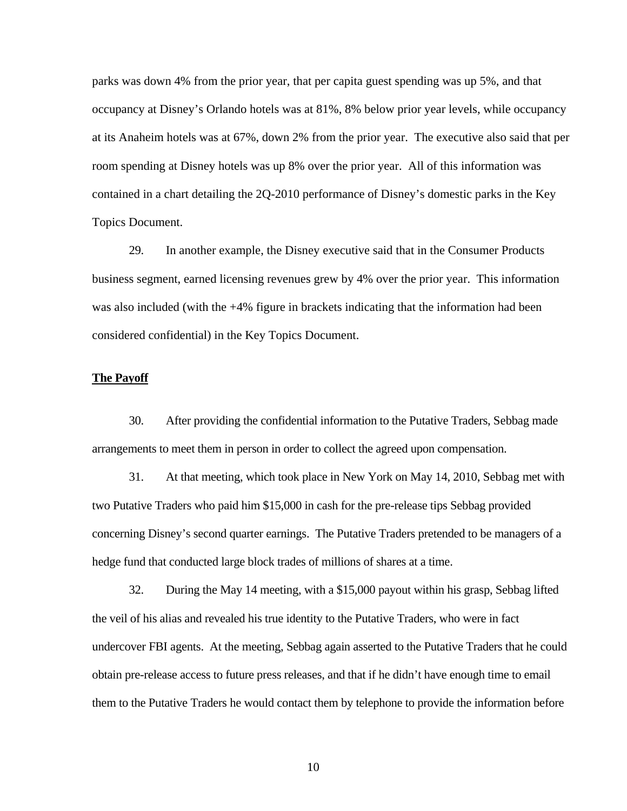parks was down 4% from the prior year, that per capita guest spending was up 5%, and that occupancy at Disney's Orlando hotels was at 81%, 8% below prior year levels, while occupancy at its Anaheim hotels was at 67%, down 2% from the prior year. The executive also said that per room spending at Disney hotels was up 8% over the prior year. All of this information was contained in a chart detailing the 2Q-2010 performance of Disney's domestic parks in the Key Topics Document.

29. In another example, the Disney executive said that in the Consumer Products business segment, earned licensing revenues grew by 4% over the prior year. This information was also included (with the +4% figure in brackets indicating that the information had been considered confidential) in the Key Topics Document.

### **The Payoff**

30. After providing the confidential information to the Putative Traders, Sebbag made arrangements to meet them in person in order to collect the agreed upon compensation.

31. At that meeting, which took place in New York on May 14, 2010, Sebbag met with two Putative Traders who paid him \$15,000 in cash for the pre-release tips Sebbag provided concerning Disney's second quarter earnings. The Putative Traders pretended to be managers of a hedge fund that conducted large block trades of millions of shares at a time.

32. During the May 14 meeting, with a \$15,000 payout within his grasp, Sebbag lifted the veil of his alias and revealed his true identity to the Putative Traders, who were in fact undercover FBI agents. At the meeting, Sebbag again asserted to the Putative Traders that he could obtain pre-release access to future press releases, and that if he didn't have enough time to email them to the Putative Traders he would contact them by telephone to provide the information before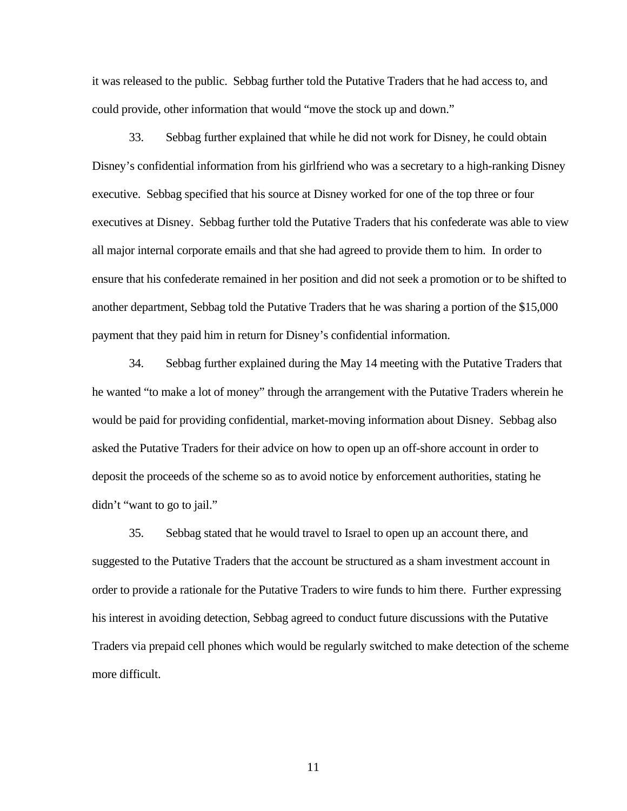it was released to the public. Sebbag further told the Putative Traders that he had access to, and could provide, other information that would "move the stock up and down."

33. Sebbag further explained that while he did not work for Disney, he could obtain Disney's confidential information from his girlfriend who was a secretary to a high-ranking Disney executive. Sebbag specified that his source at Disney worked for one of the top three or four executives at Disney. Sebbag further told the Putative Traders that his confederate was able to view all major internal corporate emails and that she had agreed to provide them to him. In order to ensure that his confederate remained in her position and did not seek a promotion or to be shifted to another department, Sebbag told the Putative Traders that he was sharing a portion of the \$15,000 payment that they paid him in return for Disney's confidential information.

didn't "want to go to jail." 34. Sebbag further explained during the May 14 meeting with the Putative Traders that he wanted "to make a lot of money" through the arrangement with the Putative Traders wherein he would be paid for providing confidential, market-moving information about Disney. Sebbag also asked the Putative Traders for their advice on how to open up an off-shore account in order to deposit the proceeds of the scheme so as to avoid notice by enforcement authorities, stating he

35. Sebbag stated that he would travel to Israel to open up an account there, and suggested to the Putative Traders that the account be structured as a sham investment account in order to provide a rationale for the Putative Traders to wire funds to him there. Further expressing his interest in avoiding detection, Sebbag agreed to conduct future discussions with the Putative Traders via prepaid cell phones which would be regularly switched to make detection of the scheme more difficult.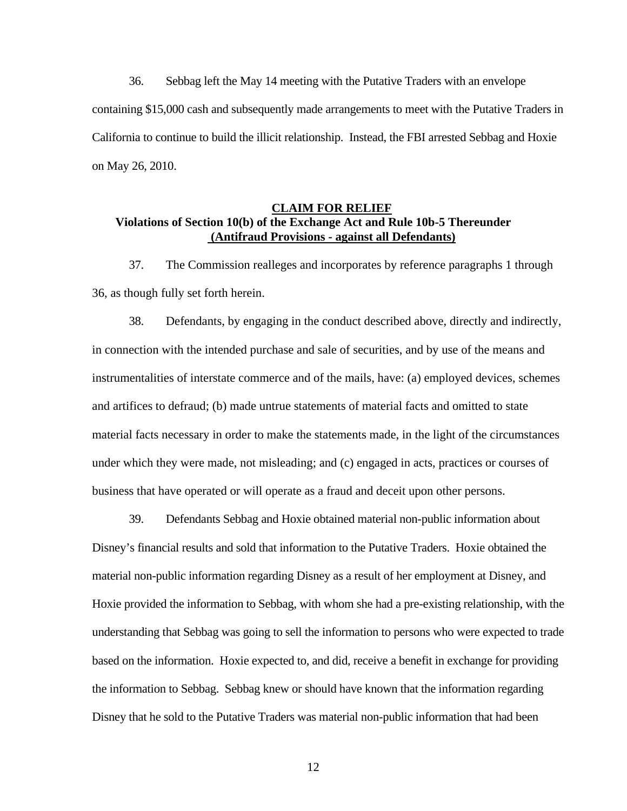36. Sebbag left the May 14 meeting with the Putative Traders with an envelope containing \$15,000 cash and subsequently made arrangements to meet with the Putative Traders in California to continue to build the illicit relationship. Instead, the FBI arrested Sebbag and Hoxie on May 26, 2010.

# **CLAIM FOR RELIEF Violations of Section 10(b) of the Exchange Act and Rule 10b-5 Thereunder (Antifraud Provisions - against all Defendants)**

37. The Commission realleges and incorporates by reference paragraphs 1 through 36, as though fully set forth herein.

38. Defendants, by engaging in the conduct described above, directly and indirectly, in connection with the intended purchase and sale of securities, and by use of the means and instrumentalities of interstate commerce and of the mails, have: (a) employed devices, schemes and artifices to defraud; (b) made untrue statements of material facts and omitted to state material facts necessary in order to make the statements made, in the light of the circumstances under which they were made, not misleading; and (c) engaged in acts, practices or courses of business that have operated or will operate as a fraud and deceit upon other persons.

39. Defendants Sebbag and Hoxie obtained material non-public information about Disney's financial results and sold that information to the Putative Traders. Hoxie obtained the material non-public information regarding Disney as a result of her employment at Disney, and Hoxie provided the information to Sebbag, with whom she had a pre-existing relationship, with the understanding that Sebbag was going to sell the information to persons who were expected to trade based on the information. Hoxie expected to, and did, receive a benefit in exchange for providing the information to Sebbag. Sebbag knew or should have known that the information regarding Disney that he sold to the Putative Traders was material non-public information that had been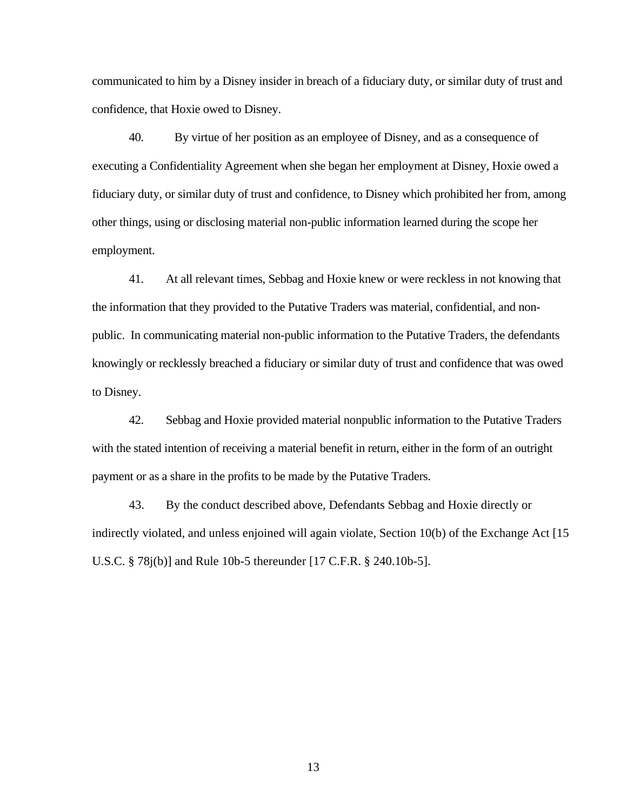communicated to him by a Disney insider in breach of a fiduciary duty, or similar duty of trust and confidence, that Hoxie owed to Disney.

40. By virtue of her position as an employee of Disney, and as a consequence of executing a Confidentiality Agreement when she began her employment at Disney, Hoxie owed a fiduciary duty, or similar duty of trust and confidence, to Disney which prohibited her from, among other things, using or disclosing material non-public information learned during the scope her employment.

41. At all relevant times, Sebbag and Hoxie knew or were reckless in not knowing that the information that they provided to the Putative Traders was material, confidential, and nonpublic. In communicating material non-public information to the Putative Traders, the defendants knowingly or recklessly breached a fiduciary or similar duty of trust and confidence that was owed to Disney.

42. Sebbag and Hoxie provided material nonpublic information to the Putative Traders with the stated intention of receiving a material benefit in return, either in the form of an outright payment or as a share in the profits to be made by the Putative Traders.

43. By the conduct described above, Defendants Sebbag and Hoxie directly or indirectly violated, and unless enjoined will again violate, Section 10(b) of the Exchange Act [15 U.S.C. § 78j(b)] and Rule 10b-5 thereunder [17 C.F.R. § 240.10b-5].